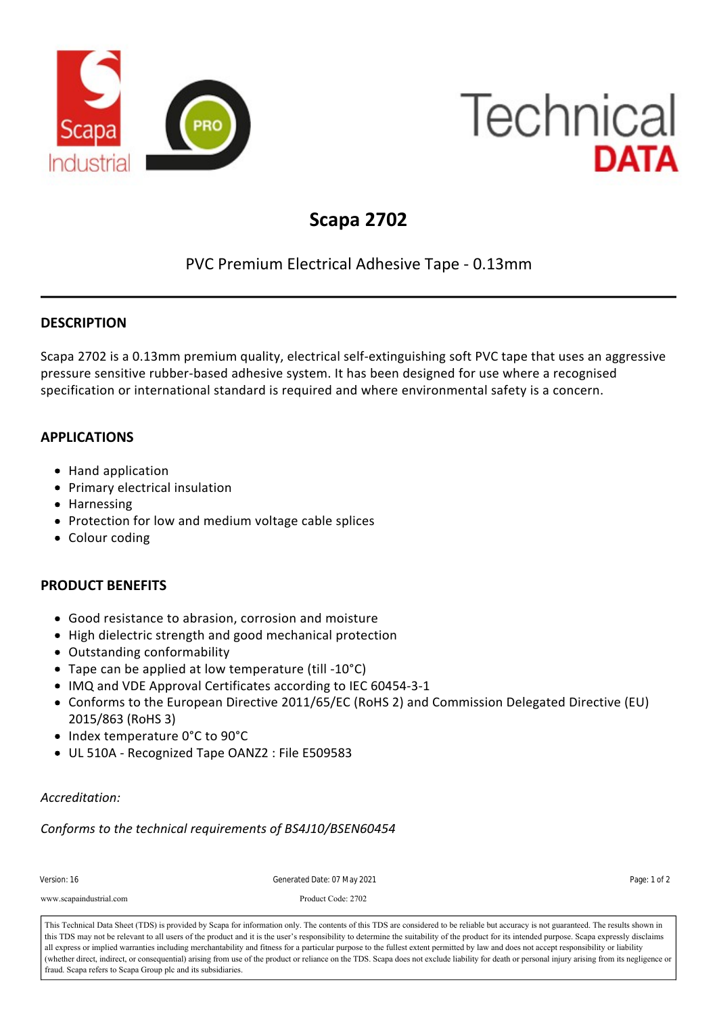

# **Technical** DATA

## **Scapa 2702**

### PVC Premium Electrical Adhesive Tape ‐ 0.13mm

#### **DESCRIPTION**

Scapa 2702 is a 0.13mm premium quality, electrical self‐extinguishing soft PVC tape that uses an aggressive pressure sensitive rubber‐based adhesive system. It has been designed for use where a recognised specification or international standard is required and where environmental safety is a concern.

#### **APPLICATIONS**

- Hand application
- Primary electrical insulation
- Harnessing
- Protection for low and medium voltage cable splices
- Colour coding

#### **PRODUCT BENEFITS**

- Good resistance to abrasion, corrosion and moisture
- High dielectric strength and good mechanical protection
- Outstanding conformability
- Tape can be applied at low temperature (till ‐10°C)
- IMQ and VDE Approval Certificates according to IEC 60454-3-1
- Conforms to the European Directive 2011/65/EC (RoHS 2) and Commission Delegated Directive (EU) 2015/863 (RoHS 3)
- Index temperature 0°C to 90°C
- UL 510A Recognized Tape OANZ2 : File E509583

#### *Accreditation:*

*Conforms to the technical requirements of BS4J10/BSEN60454*

| Version: 16                                                                                                                                                                            | Generated Date: 07 May 2021 | Page: 1 of 2 |
|----------------------------------------------------------------------------------------------------------------------------------------------------------------------------------------|-----------------------------|--------------|
| www.scapaindustrial.com                                                                                                                                                                | Product Code: 2702          |              |
| This Technical Data Sheet (TDS) is provided by Scapa for information only. The contents of this TDS are considered to be reliable but accuracy is not guaranteed. The results shown in |                             |              |

This Technical Data Sheet (TDS) is provided by Scapa for information only. The contents of this TDS are considered to be reliable but accuracy is not guaranteed. The results shown in<br>this TDS may not be relevant to all use all express or implied warranties including merchantability and fitness for a particular purpose to the fullest extent permitted by law and does not accept responsibility or liability Elongation at Break 180 % IEC 60454‐2 fraud. Scapa refers to Scapa Group plc and its subsidiaries. (whether direct, indirect, or consequential) arising from use of the product or reliance on the TDS. Scapa does not exclude liability for death or personal injury arising from its negligence or